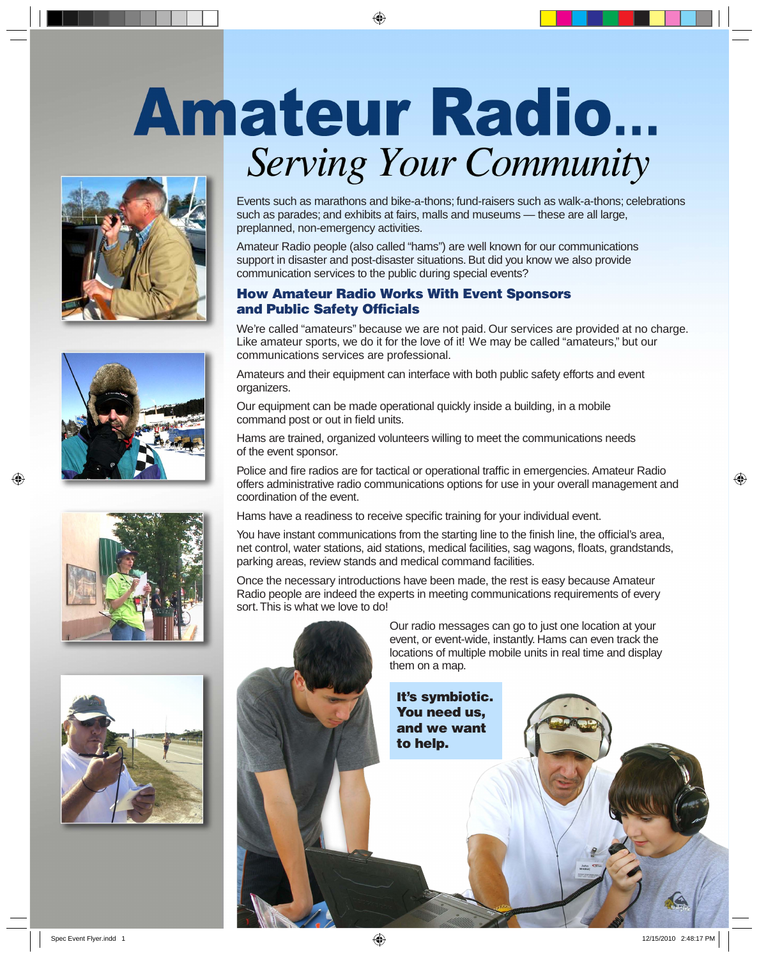# **Amateur Radio...** Serving Your Community

⊕









Events such as marathons and bike-a-thons; fund-raisers such as walk-a-thons; celebrations such as parades; and exhibits at fairs, malls and museums — these are all large, preplanned, non-emergency activities.

Amateur Radio people (also called "hams") are well known for our communications support in disaster and post-disaster situations. But did you know we also provide communication services to the public during special events?

## **How Amateur Radio Works With Event Sponsors and Public Safety Officials**

We're called "amateurs" because we are not paid. Our services are provided at no charge. Like amateur sports, we do it for the love of it! We may be called "amateurs," but our communications services are professional.

Amateurs and their equipment can interface with both public safety efforts and event organizers.

Our equipment can be made operational quickly inside a building, in a mobile command post or out in field units.

Hams are trained, organized volunteers willing to meet the communications needs of the event sponsor.

Police and fire radios are for tactical or operational traffic in emergencies. Amateur Radio offers administrative radio communications options for use in your overall management and coordination of the event.

Hams have a readiness to receive specific training for your individual event.

You have instant communications from the starting line to the finish line, the official's area, net control, water stations, aid stations, medical facilities, sag wagons, floats, grandstands, parking areas, review stands and medical command facilities.

Once the necessary introductions have been made, the rest is easy because Amateur Radio people are indeed the experts in meeting communications requirements of every sort. This is what we love to do!

> Our radio messages can go to just one location at your event, or event-wide, instantly. Hams can even track the locations of multiple mobile units in real time and display them on a map.

**It's symbiotic. You need us, and we want to help.** 

⊕